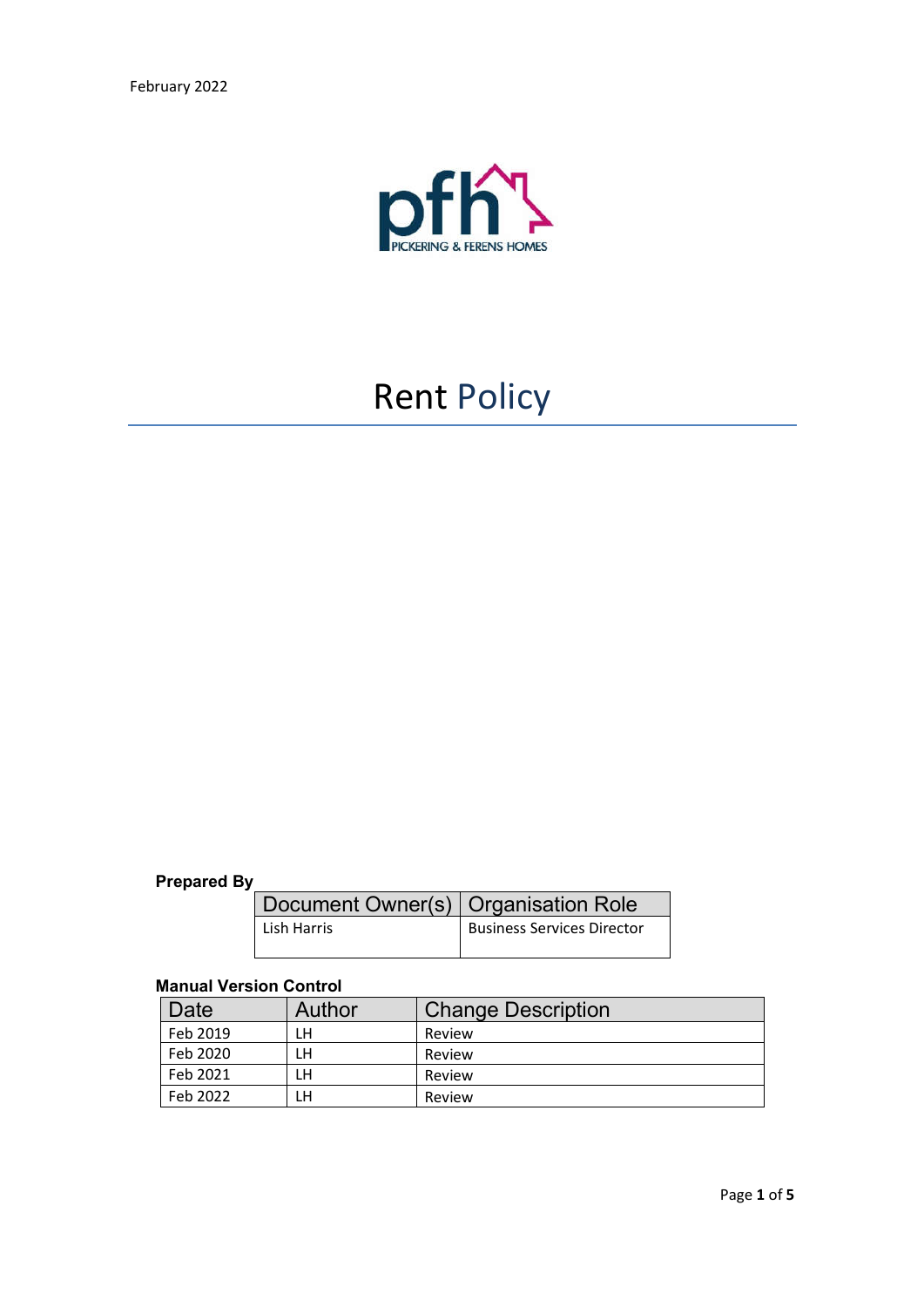

# Rent Policy

# **Prepared By**

| Document Owner(s)   Organisation Role |                                   |
|---------------------------------------|-----------------------------------|
| Lish Harris                           | <b>Business Services Director</b> |

### **Manual Version Control**

| Date     | <b>Author</b> | <b>Change Description</b> |
|----------|---------------|---------------------------|
| Feb 2019 | LH            | Review                    |
| Feb 2020 | LH            | Review                    |
| Feb 2021 | LН            | Review                    |
| Feb 2022 | LН            | Review                    |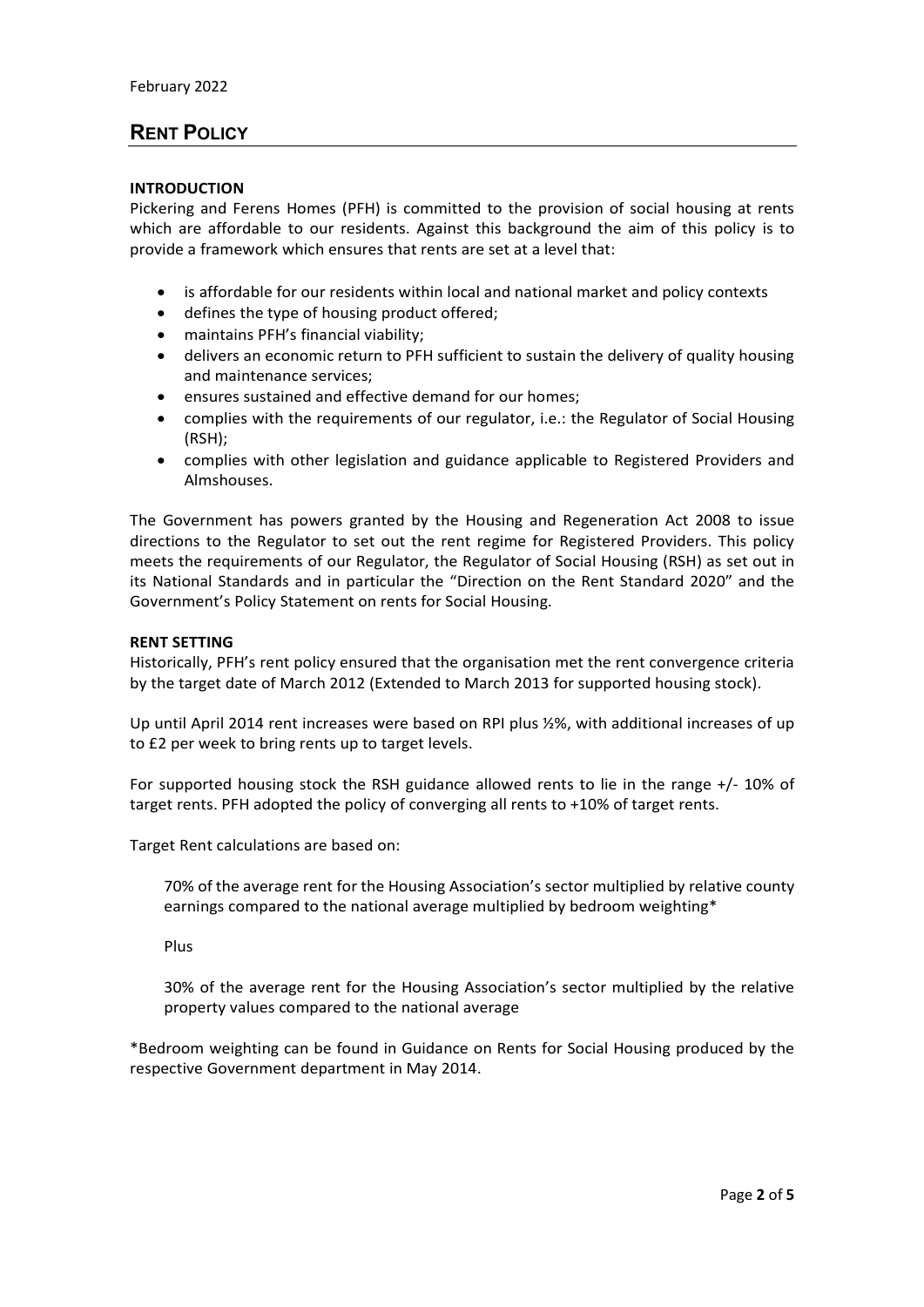## **RENT POLICY**

#### **INTRODUCTION**

Pickering and Ferens Homes (PFH) is committed to the provision of social housing at rents which are affordable to our residents. Against this background the aim of this policy is to provide a framework which ensures that rents are set at a level that:

- is affordable for our residents within local and national market and policy contexts
- defines the type of housing product offered;
- maintains PFH's financial viability;
- delivers an economic return to PFH sufficient to sustain the delivery of quality housing and maintenance services;
- ensures sustained and effective demand for our homes;
- complies with the requirements of our regulator, i.e.: the Regulator of Social Housing (RSH);
- complies with other legislation and guidance applicable to Registered Providers and Almshouses.

The Government has powers granted by the Housing and Regeneration Act 2008 to issue directions to the Regulator to set out the rent regime for Registered Providers. This policy meets the requirements of our Regulator, the Regulator of Social Housing (RSH) as set out in its National Standards and in particular the "Direction on the Rent Standard 2020" and the Government's Policy Statement on rents for Social Housing.

#### **RENT SETTING**

Historically, PFH's rent policy ensured that the organisation met the rent convergence criteria by the target date of March 2012 (Extended to March 2013 for supported housing stock).

Up until April 2014 rent increases were based on RPI plus ½%, with additional increases of up to £2 per week to bring rents up to target levels.

For supported housing stock the RSH guidance allowed rents to lie in the range +/- 10% of target rents. PFH adopted the policy of converging all rents to +10% of target rents.

Target Rent calculations are based on:

70% of the average rent for the Housing Association's sector multiplied by relative county earnings compared to the national average multiplied by bedroom weighting\*

Plus

30% of the average rent for the Housing Association's sector multiplied by the relative property values compared to the national average

\*Bedroom weighting can be found in Guidance on Rents for Social Housing produced by the respective Government department in May 2014.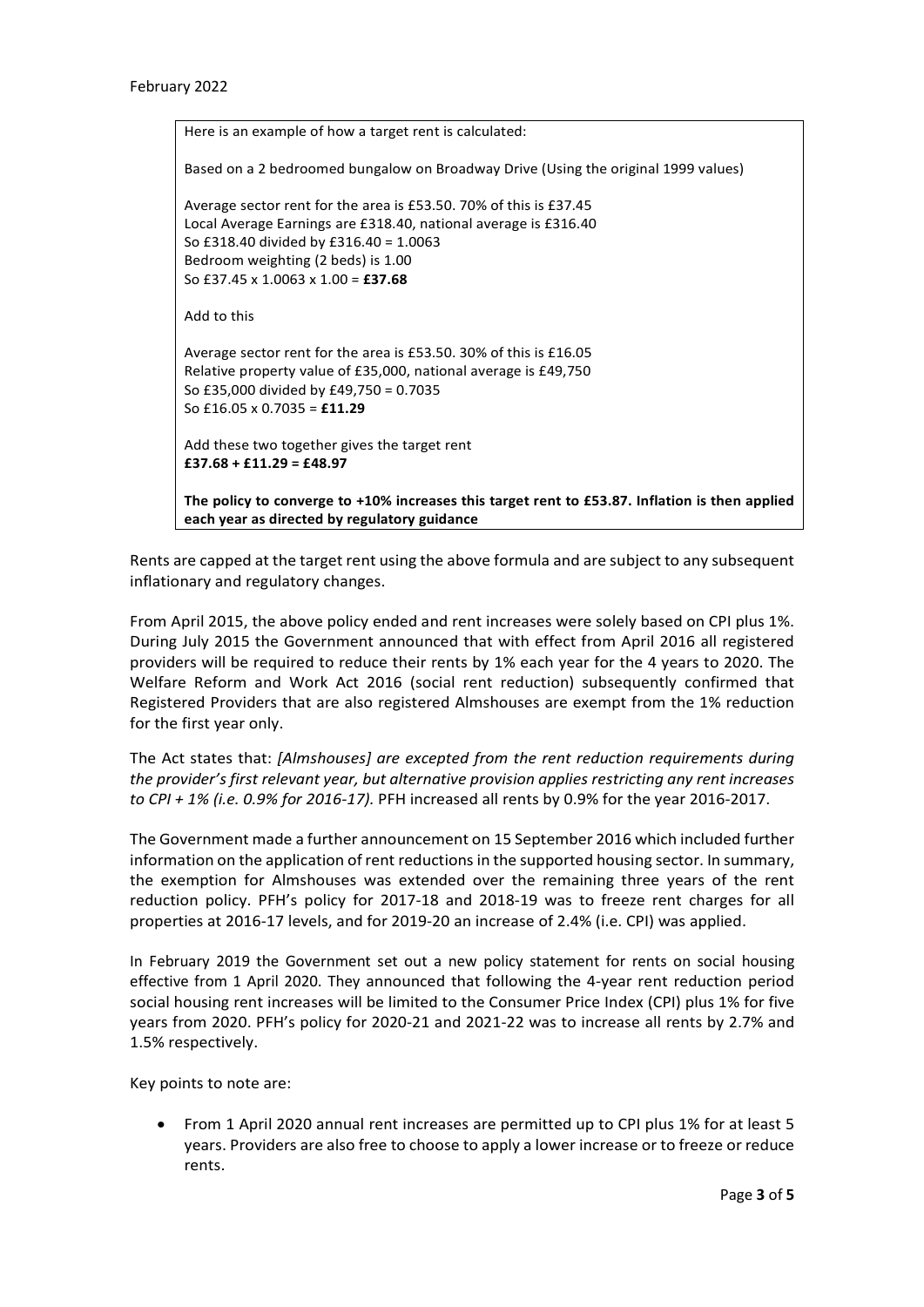| Here is an example of how a target rent is calculated:                                                                                         |
|------------------------------------------------------------------------------------------------------------------------------------------------|
| Based on a 2 bedroomed bungalow on Broadway Drive (Using the original 1999 values)                                                             |
| Average sector rent for the area is £53.50. 70% of this is £37.45                                                                              |
| Local Average Earnings are £318.40, national average is £316.40                                                                                |
| So £318.40 divided by £316.40 = 1.0063                                                                                                         |
| Bedroom weighting (2 beds) is 1.00                                                                                                             |
| So £37.45 x 1.0063 x 1.00 = £37.68                                                                                                             |
| Add to this                                                                                                                                    |
| Average sector rent for the area is £53.50. 30% of this is £16.05                                                                              |
| Relative property value of £35,000, national average is £49,750                                                                                |
| So £35,000 divided by £49,750 = 0.7035                                                                                                         |
| So £16.05 x 0.7035 = £11.29                                                                                                                    |
| Add these two together gives the target rent                                                                                                   |
| $£37.68 + £11.29 = £48.97$                                                                                                                     |
| The policy to converge to +10% increases this target rent to £53.87. Inflation is then applied<br>each year as directed by regulatory guidance |

Rents are capped at the target rent using the above formula and are subject to any subsequent inflationary and regulatory changes.

From April 2015, the above policy ended and rent increases were solely based on CPI plus 1%. During July 2015 the Government announced that with effect from April 2016 all registered providers will be required to reduce their rents by 1% each year for the 4 years to 2020. The Welfare Reform and Work Act 2016 (social rent reduction) subsequently confirmed that Registered Providers that are also registered Almshouses are exempt from the 1% reduction for the first year only.

The Act states that: *[Almshouses] are excepted from the rent reduction requirements during the provider's first relevant year, but alternative provision applies restricting any rent increases to CPI + 1% (i.e. 0.9% for 2016-17).* PFH increased all rents by 0.9% for the year 2016-2017.

The Government made a further announcement on 15 September 2016 which included further information on the application of rent reductions in the supported housing sector. In summary, the exemption for Almshouses was extended over the remaining three years of the rent reduction policy. PFH's policy for 2017-18 and 2018-19 was to freeze rent charges for all properties at 2016-17 levels, and for 2019-20 an increase of 2.4% (i.e. CPI) was applied.

In February 2019 the Government set out a new policy statement for rents on social housing effective from 1 April 2020. They announced that following the 4-year rent reduction period social housing rent increases will be limited to the Consumer Price Index (CPI) plus 1% for five years from 2020. PFH's policy for 2020-21 and 2021-22 was to increase all rents by 2.7% and 1.5% respectively.

Key points to note are:

 From 1 April 2020 annual rent increases are permitted up to CPI plus 1% for at least 5 years. Providers are also free to choose to apply a lower increase or to freeze or reduce rents.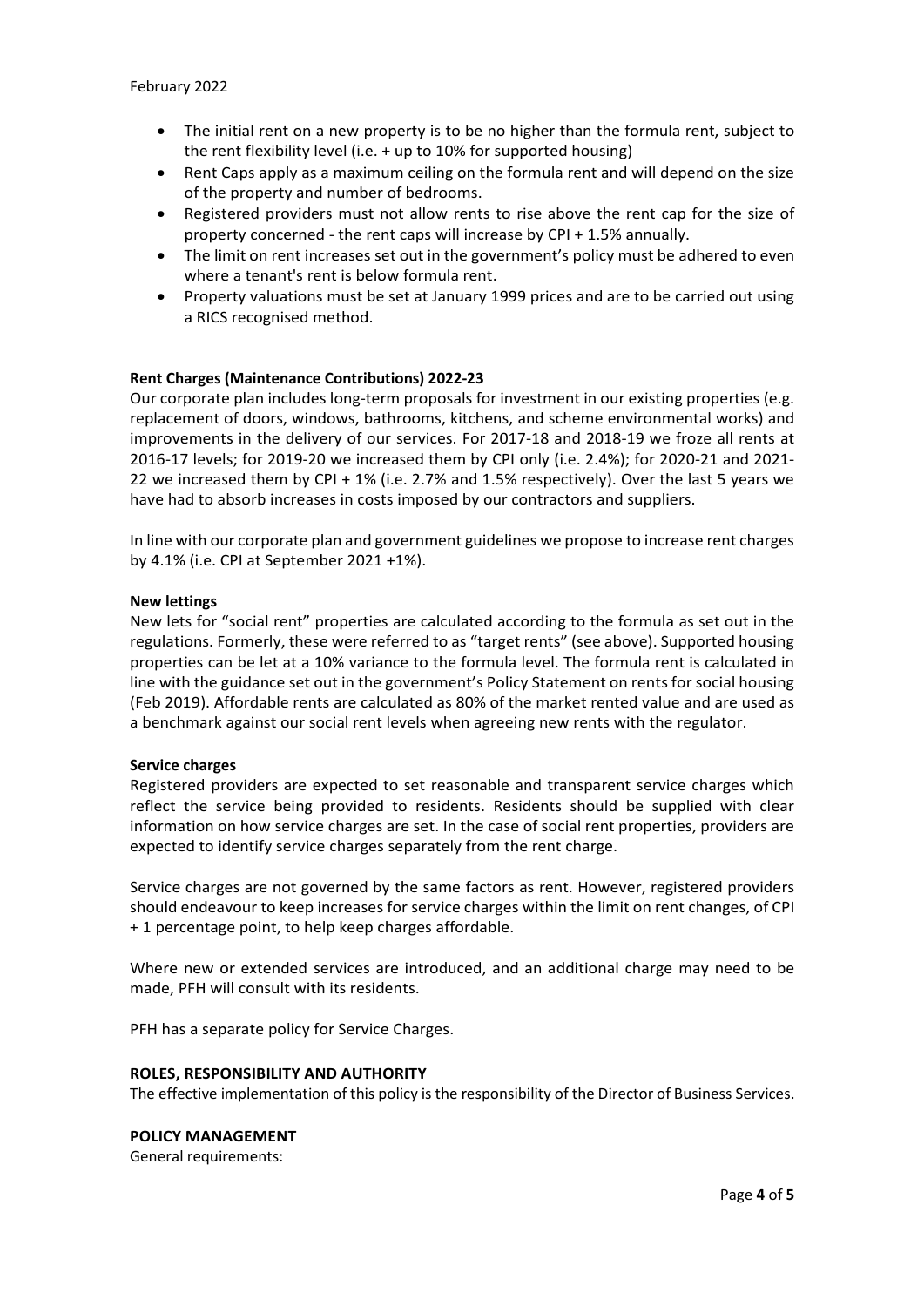- The initial rent on a new property is to be no higher than the formula rent, subject to the rent flexibility level (i.e. + up to 10% for supported housing)
- Rent Caps apply as a maximum ceiling on the formula rent and will depend on the size of the property and number of bedrooms.
- Registered providers must not allow rents to rise above the rent cap for the size of property concerned - the rent caps will increase by CPI + 1.5% annually.
- The limit on rent increases set out in the government's policy must be adhered to even where a tenant's rent is below formula rent.
- Property valuations must be set at January 1999 prices and are to be carried out using a RICS recognised method.

#### **Rent Charges (Maintenance Contributions) 2022-23**

Our corporate plan includes long-term proposals for investment in our existing properties (e.g. replacement of doors, windows, bathrooms, kitchens, and scheme environmental works) and improvements in the delivery of our services. For 2017-18 and 2018-19 we froze all rents at 2016-17 levels; for 2019-20 we increased them by CPI only (i.e. 2.4%); for 2020-21 and 2021- 22 we increased them by CPI + 1% (i.e. 2.7% and 1.5% respectively). Over the last 5 years we have had to absorb increases in costs imposed by our contractors and suppliers.

In line with our corporate plan and government guidelines we propose to increase rent charges by 4.1% (i.e. CPI at September 2021 +1%).

#### **New lettings**

New lets for "social rent" properties are calculated according to the formula as set out in the regulations. Formerly, these were referred to as "target rents" (see above). Supported housing properties can be let at a 10% variance to the formula level. The formula rent is calculated in line with the guidance set out in the government's Policy Statement on rents for social housing (Feb 2019). Affordable rents are calculated as 80% of the market rented value and are used as a benchmark against our social rent levels when agreeing new rents with the regulator.

#### **Service charges**

Registered providers are expected to set reasonable and transparent service charges which reflect the service being provided to residents. Residents should be supplied with clear information on how service charges are set. In the case of social rent properties, providers are expected to identify service charges separately from the rent charge.

Service charges are not governed by the same factors as rent. However, registered providers should endeavour to keep increases for service charges within the limit on rent changes, of CPI + 1 percentage point, to help keep charges affordable.

Where new or extended services are introduced, and an additional charge may need to be made, PFH will consult with its residents.

PFH has a separate policy for Service Charges.

#### **ROLES, RESPONSIBILITY AND AUTHORITY**

The effective implementation of this policy is the responsibility of the Director of Business Services.

#### **POLICY MANAGEMENT**

General requirements: